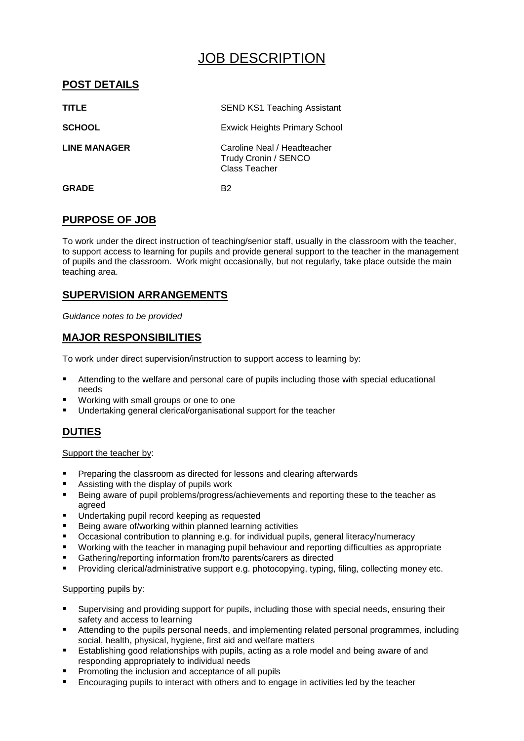# JOB DESCRIPTION

# **POST DETAILS**

| <b>TITLE</b>        | <b>SEND KS1 Teaching Assistant</b>                                   |
|---------------------|----------------------------------------------------------------------|
| <b>SCHOOL</b>       | <b>Exwick Heights Primary School</b>                                 |
| <b>LINE MANAGER</b> | Caroline Neal / Headteacher<br>Trudy Cronin / SENCO<br>Class Teacher |
| <b>GRADE</b>        | B2                                                                   |

# **PURPOSE OF JOB**

To work under the direct instruction of teaching/senior staff, usually in the classroom with the teacher, to support access to learning for pupils and provide general support to the teacher in the management of pupils and the classroom. Work might occasionally, but not regularly, take place outside the main teaching area.

# **SUPERVISION ARRANGEMENTS**

*Guidance notes to be provided*

## **MAJOR RESPONSIBILITIES**

To work under direct supervision/instruction to support access to learning by:

- Attending to the welfare and personal care of pupils including those with special educational needs
- Working with small groups or one to one
- Undertaking general clerical/organisational support for the teacher

# **DUTIES**

#### Support the teacher by:

- **Preparing the classroom as directed for lessons and clearing afterwards**
- Assisting with the display of pupils work
- **Being aware of pupil problems/progress/achievements and reporting these to the teacher as** agreed
- Undertaking pupil record keeping as requested
- Being aware of/working within planned learning activities
- Occasional contribution to planning e.g. for individual pupils, general literacy/numeracy
- Working with the teacher in managing pupil behaviour and reporting difficulties as appropriate
- Gathering/reporting information from/to parents/carers as directed
- Providing clerical/administrative support e.g. photocopying, typing, filing, collecting money etc.

#### Supporting pupils by:

- Supervising and providing support for pupils, including those with special needs, ensuring their safety and access to learning
- Attending to the pupils personal needs, and implementing related personal programmes, including social, health, physical, hygiene, first aid and welfare matters
- Establishing good relationships with pupils, acting as a role model and being aware of and responding appropriately to individual needs
- Promoting the inclusion and acceptance of all pupils
- Encouraging pupils to interact with others and to engage in activities led by the teacher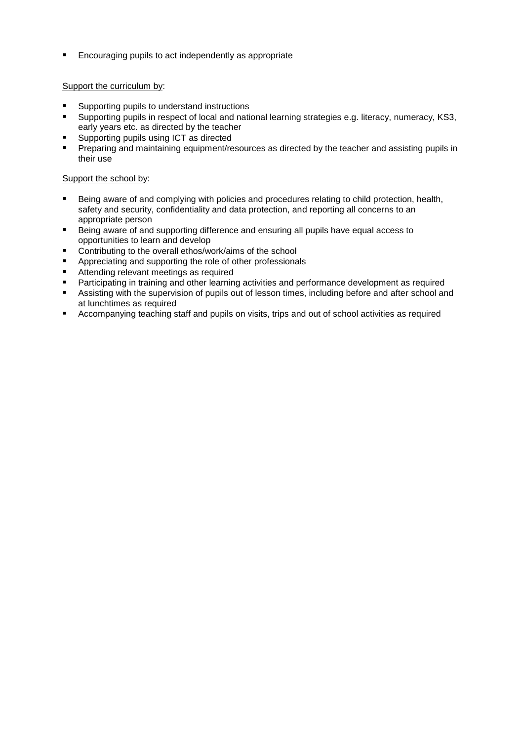**Encouraging pupils to act independently as appropriate** 

#### Support the curriculum by:

- Supporting pupils to understand instructions
- Supporting pupils in respect of local and national learning strategies e.g. literacy, numeracy, KS3, early years etc. as directed by the teacher
- Supporting pupils using ICT as directed
- Preparing and maintaining equipment/resources as directed by the teacher and assisting pupils in their use

#### Support the school by:

- Being aware of and complying with policies and procedures relating to child protection, health, safety and security, confidentiality and data protection, and reporting all concerns to an appropriate person
- Being aware of and supporting difference and ensuring all pupils have equal access to opportunities to learn and develop
- **Contributing to the overall ethos/work/aims of the school**
- **EXECUTE:** Appreciating and supporting the role of other professionals
- Attending relevant meetings as required
- **Participating in training and other learning activities and performance development as required**
- Assisting with the supervision of pupils out of lesson times, including before and after school and at lunchtimes as required
- Accompanying teaching staff and pupils on visits, trips and out of school activities as required